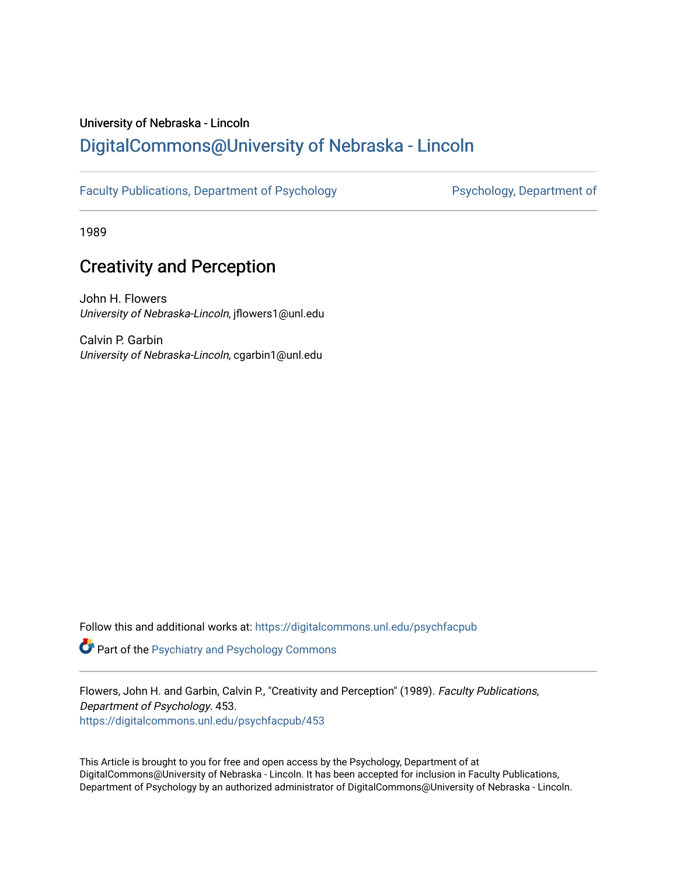# University of Nebraska - Lincoln [DigitalCommons@University of Nebraska - Lincoln](https://digitalcommons.unl.edu/)

[Faculty Publications, Department of Psychology](https://digitalcommons.unl.edu/psychfacpub) Psychology, Department of

1989

# Creativity and Perception

John H. Flowers University of Nebraska-Lincoln, jflowers1@unl.edu

Calvin P. Garbin University of Nebraska-Lincoln, cgarbin1@unl.edu

Follow this and additional works at: [https://digitalcommons.unl.edu/psychfacpub](https://digitalcommons.unl.edu/psychfacpub?utm_source=digitalcommons.unl.edu%2Fpsychfacpub%2F453&utm_medium=PDF&utm_campaign=PDFCoverPages) 

**Part of the Psychiatry and Psychology Commons** 

Flowers, John H. and Garbin, Calvin P., "Creativity and Perception" (1989). Faculty Publications, Department of Psychology. 453. [https://digitalcommons.unl.edu/psychfacpub/453](https://digitalcommons.unl.edu/psychfacpub/453?utm_source=digitalcommons.unl.edu%2Fpsychfacpub%2F453&utm_medium=PDF&utm_campaign=PDFCoverPages) 

This Article is brought to you for free and open access by the Psychology, Department of at DigitalCommons@University of Nebraska - Lincoln. It has been accepted for inclusion in Faculty Publications, Department of Psychology by an authorized administrator of DigitalCommons@University of Nebraska - Lincoln.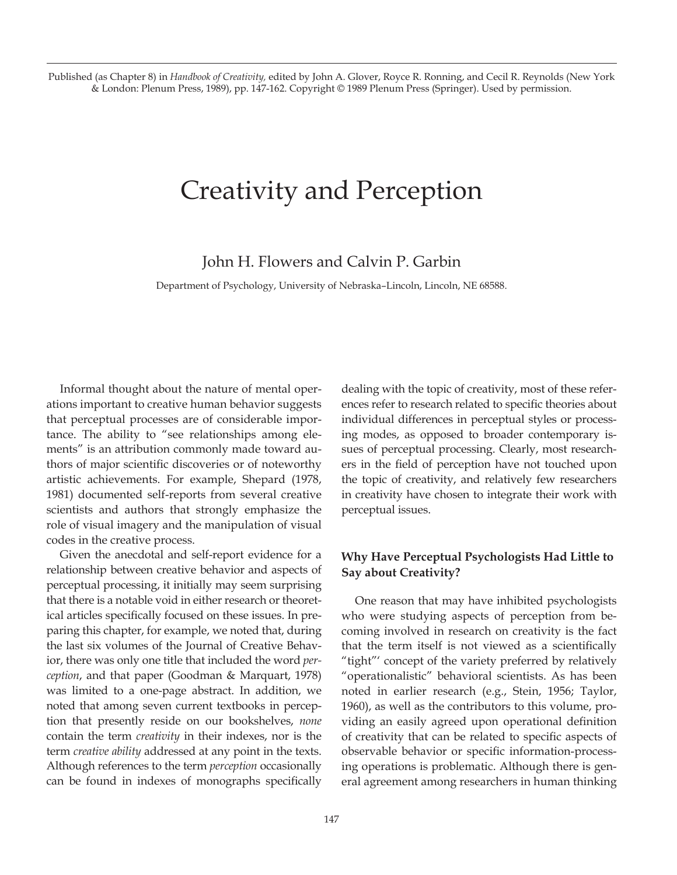Published (as Chapter 8) in *Handbook of Creativity,* edited by John A. Glover, Royce R. Ronning, and Cecil R. Reynolds (New York & London: Plenum Press, 1989), pp. 147-162. Copyright © 1989 Plenum Press (Springer). Used by permission.

# Creativity and Perception

John H. Flowers and Calvin P. Garbin

Department of Psychology, University of Nebraska–Lincoln, Lincoln, NE 68588.

Informal thought about the nature of mental operations important to creative human behavior suggests that perceptual processes are of considerable importance. The ability to "see relationships among elements" is an attribution commonly made toward authors of major scientific discoveries or of noteworthy artistic achievements. For example, Shepard (1978, 1981) documented self-reports from several creative scientists and authors that strongly emphasize the role of visual imagery and the manipulation of visual codes in the creative process.

Given the anecdotal and self-report evidence for a relationship between creative behavior and aspects of perceptual processing, it initially may seem surprising that there is a notable void in either research or theoretical articles specifically focused on these issues. In preparing this chapter, for example, we noted that, during the last six volumes of the Journal of Creative Behavior, there was only one title that included the word *perception*, and that paper (Goodman & Marquart, 1978) was limited to a one-page abstract. In addition, we noted that among seven current textbooks in perception that presently reside on our bookshelves, *none* contain the term *creativity* in their indexes, nor is the term *creative ability* addressed at any point in the texts. Although references to the term *perception* occasionally can be found in indexes of monographs specifically

dealing with the topic of creativity, most of these references refer to research related to specific theories about individual differences in perceptual styles or processing modes, as opposed to broader contemporary issues of perceptual processing. Clearly, most researchers in the field of perception have not touched upon the topic of creativity, and relatively few researchers in creativity have chosen to integrate their work with perceptual issues.

# **Why Have Perceptual Psychologists Had Little to Say about Creativity?**

One reason that may have inhibited psychologists who were studying aspects of perception from becoming involved in research on creativity is the fact that the term itself is not viewed as a scientifically "tight"' concept of the variety preferred by relatively "operationalistic" behavioral scientists. As has been noted in earlier research (e.g., Stein, 1956; Taylor, 1960), as well as the contributors to this volume, providing an easily agreed upon operational definition of creativity that can be related to specific aspects of observable behavior or specific information-processing operations is problematic. Although there is general agreement among researchers in human thinking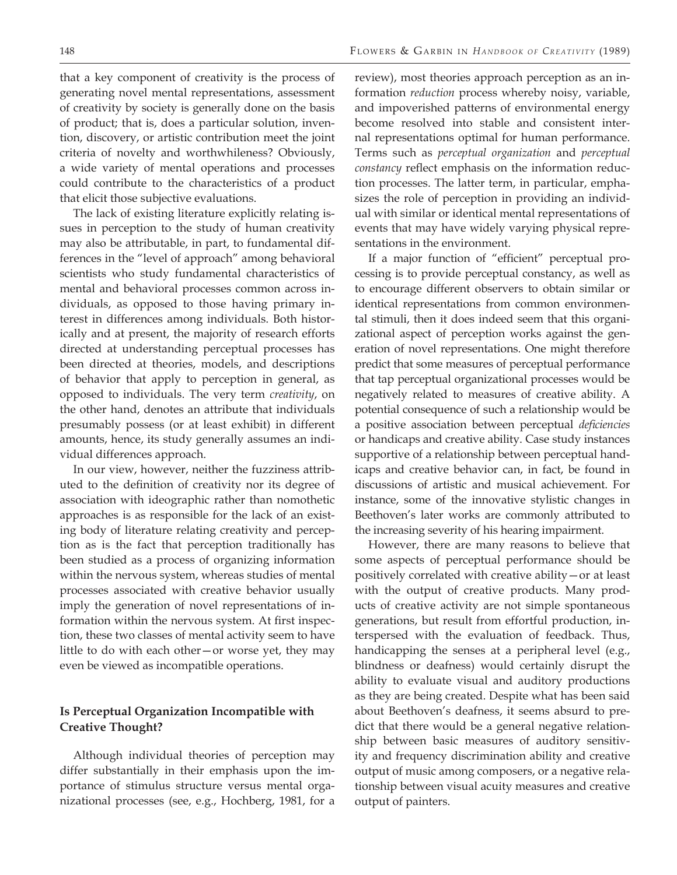that a key component of creativity is the process of generating novel mental representations, assessment of creativity by society is generally done on the basis of product; that is, does a particular solution, invention, discovery, or artistic contribution meet the joint criteria of novelty and worthwhileness? Obviously, a wide variety of mental operations and processes could contribute to the characteristics of a product that elicit those subjective evaluations.

The lack of existing literature explicitly relating issues in perception to the study of human creativity may also be attributable, in part, to fundamental differences in the "level of approach" among behavioral scientists who study fundamental characteristics of mental and behavioral processes common across individuals, as opposed to those having primary interest in differences among individuals. Both historically and at present, the majority of research efforts directed at understanding perceptual processes has been directed at theories, models, and descriptions of behavior that apply to perception in general, as opposed to individuals. The very term *creativity*, on the other hand, denotes an attribute that individuals presumably possess (or at least exhibit) in different amounts, hence, its study generally assumes an individual differences approach.

In our view, however, neither the fuzziness attributed to the definition of creativity nor its degree of association with ideographic rather than nomothetic approaches is as responsible for the lack of an existing body of literature relating creativity and perception as is the fact that perception traditionally has been studied as a process of organizing information within the nervous system, whereas studies of mental processes associated with creative behavior usually imply the generation of novel representations of information within the nervous system. At first inspection, these two classes of mental activity seem to have little to do with each other—or worse yet, they may even be viewed as incompatible operations.

### **Is Perceptual Organization Incompatible with Creative Thought?**

Although individual theories of perception may differ substantially in their emphasis upon the importance of stimulus structure versus mental organizational processes (see, e.g., Hochberg, 1981, for a

review), most theories approach perception as an information *reduction* process whereby noisy, variable, and impoverished patterns of environmental energy become resolved into stable and consistent internal representations optimal for human performance. Terms such as *perceptual organization* and *perceptual constancy* reflect emphasis on the information reduction processes. The latter term, in particular, emphasizes the role of perception in providing an individual with similar or identical mental representations of events that may have widely varying physical representations in the environment.

If a major function of "efficient" perceptual processing is to provide perceptual constancy, as well as to encourage different observers to obtain similar or identical representations from common environmental stimuli, then it does indeed seem that this organizational aspect of perception works against the generation of novel representations. One might therefore predict that some measures of perceptual performance that tap perceptual organizational processes would be negatively related to measures of creative ability. A potential consequence of such a relationship would be a positive association between perceptual *deficiencies* or handicaps and creative ability. Case study instances supportive of a relationship between perceptual handicaps and creative behavior can, in fact, be found in discussions of artistic and musical achievement. For instance, some of the innovative stylistic changes in Beethoven's later works are commonly attributed to the increasing severity of his hearing impairment.

However, there are many reasons to believe that some aspects of perceptual performance should be positively correlated with creative ability—or at least with the output of creative products. Many products of creative activity are not simple spontaneous generations, but result from effortful production, interspersed with the evaluation of feedback. Thus, handicapping the senses at a peripheral level (e.g., blindness or deafness) would certainly disrupt the ability to evaluate visual and auditory productions as they are being created. Despite what has been said about Beethoven's deafness, it seems absurd to predict that there would be a general negative relationship between basic measures of auditory sensitivity and frequency discrimination ability and creative output of music among composers, or a negative relationship between visual acuity measures and creative output of painters.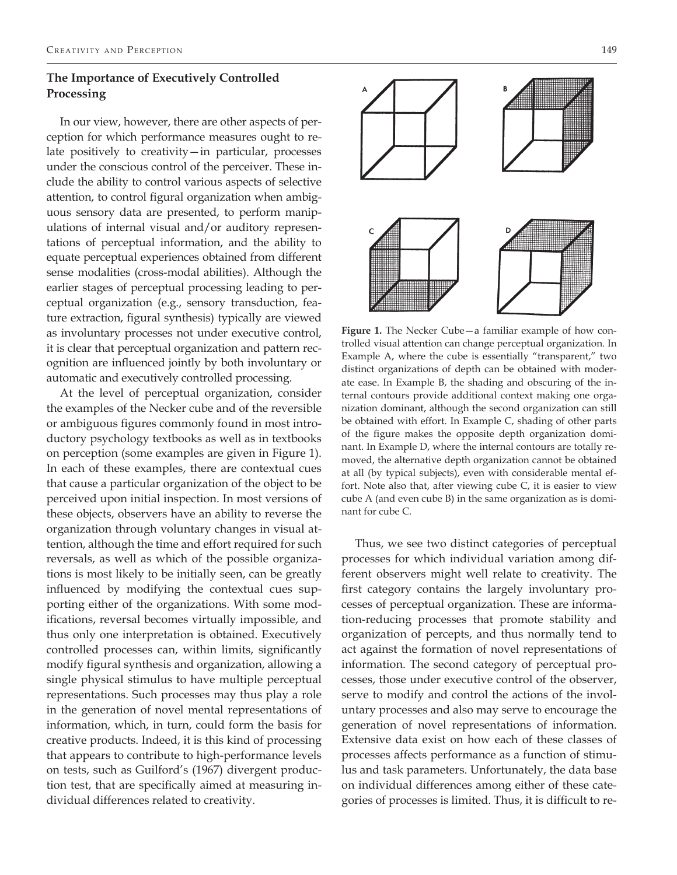# **The Importance of Executively Controlled Processing**

In our view, however, there are other aspects of perception for which performance measures ought to relate positively to creativity—in particular, processes under the conscious control of the perceiver. These include the ability to control various aspects of selective attention, to control figural organization when ambiguous sensory data are presented, to perform manipulations of internal visual and/or auditory representations of perceptual information, and the ability to equate perceptual experiences obtained from different sense modalities (cross-modal abilities). Although the earlier stages of perceptual processing leading to perceptual organization (e.g., sensory transduction, feature extraction, figural synthesis) typically are viewed as involuntary processes not under executive control, it is clear that perceptual organization and pattern recognition are influenced jointly by both involuntary or automatic and executively controlled processing.

At the level of perceptual organization, consider the examples of the Necker cube and of the reversible or ambiguous figures commonly found in most introductory psychology textbooks as well as in textbooks on perception (some examples are given in Figure 1). In each of these examples, there are contextual cues that cause a particular organization of the object to be perceived upon initial inspection. In most versions of these objects, observers have an ability to reverse the organization through voluntary changes in visual attention, although the time and effort required for such reversals, as well as which of the possible organizations is most likely to be initially seen, can be greatly influenced by modifying the contextual cues supporting either of the organizations. With some modifications, reversal becomes virtually impossible, and thus only one interpretation is obtained. Executively controlled processes can, within limits, significantly modify figural synthesis and organization, allowing a single physical stimulus to have multiple perceptual representations. Such processes may thus play a role in the generation of novel mental representations of information, which, in turn, could form the basis for creative products. Indeed, it is this kind of processing that appears to contribute to high-performance levels on tests, such as Guilford's (1967) divergent production test, that are specifically aimed at measuring individual differences related to creativity.



**Figure 1.** The Necker Cube—a familiar example of how controlled visual attention can change perceptual organization. In Example A, where the cube is essentially "transparent," two distinct organizations of depth can be obtained with moderate ease. In Example B, the shading and obscuring of the internal contours provide additional context making one organization dominant, although the second organization can still be obtained with effort. In Example C, shading of other parts of the figure makes the opposite depth organization dominant. In Example D, where the internal contours are totally removed, the alternative depth organization cannot be obtained at all (by typical subjects), even with considerable mental effort. Note also that, after viewing cube C, it is easier to view cube A (and even cube B) in the same organization as is dominant for cube C.

Thus, we see two distinct categories of perceptual processes for which individual variation among different observers might well relate to creativity. The first category contains the largely involuntary processes of perceptual organization. These are information-reducing processes that promote stability and organization of percepts, and thus normally tend to act against the formation of novel representations of information. The second category of perceptual processes, those under executive control of the observer, serve to modify and control the actions of the involuntary processes and also may serve to encourage the generation of novel representations of information. Extensive data exist on how each of these classes of processes affects performance as a function of stimulus and task parameters. Unfortunately, the data base on individual differences among either of these categories of processes is limited. Thus, it is difficult to re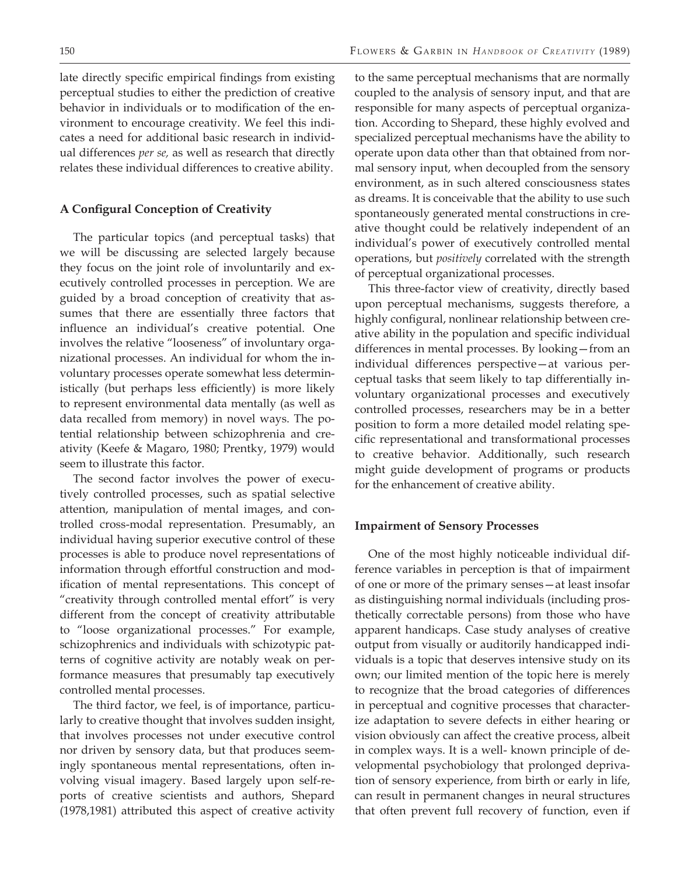late directly specific empirical findings from existing perceptual studies to either the prediction of creative behavior in individuals or to modification of the environment to encourage creativity. We feel this indicates a need for additional basic research in individual differences *per se,* as well as research that directly relates these individual differences to creative ability.

#### **A Configural Conception of Creativity**

The particular topics (and perceptual tasks) that we will be discussing are selected largely because they focus on the joint role of involuntarily and executively controlled processes in perception. We are guided by a broad conception of creativity that assumes that there are essentially three factors that influence an individual's creative potential. One involves the relative "looseness" of involuntary organizational processes. An individual for whom the involuntary processes operate somewhat less deterministically (but perhaps less efficiently) is more likely to represent environmental data mentally (as well as data recalled from memory) in novel ways. The potential relationship between schizophrenia and creativity (Keefe & Magaro, 1980; Prentky, 1979) would seem to illustrate this factor.

The second factor involves the power of executively controlled processes, such as spatial selective attention, manipulation of mental images, and controlled cross-modal representation. Presumably, an individual having superior executive control of these processes is able to produce novel representations of information through effortful construction and modification of mental representations. This concept of "creativity through controlled mental effort" is very different from the concept of creativity attributable to "loose organizational processes." For example, schizophrenics and individuals with schizotypic patterns of cognitive activity are notably weak on performance measures that presumably tap executively controlled mental processes.

The third factor, we feel, is of importance, particularly to creative thought that involves sudden insight, that involves processes not under executive control nor driven by sensory data, but that produces seemingly spontaneous mental representations, often involving visual imagery. Based largely upon self-reports of creative scientists and authors, Shepard (1978,1981) attributed this aspect of creative activity

to the same perceptual mechanisms that are normally coupled to the analysis of sensory input, and that are responsible for many aspects of perceptual organization. According to Shepard, these highly evolved and specialized perceptual mechanisms have the ability to operate upon data other than that obtained from normal sensory input, when decoupled from the sensory environment, as in such altered consciousness states as dreams. It is conceivable that the ability to use such spontaneously generated mental constructions in creative thought could be relatively independent of an individual's power of executively controlled mental operations, but *positively* correlated with the strength of perceptual organizational processes.

This three-factor view of creativity, directly based upon perceptual mechanisms, suggests therefore, a highly configural, nonlinear relationship between creative ability in the population and specific individual differences in mental processes. By looking—from an individual differences perspective—at various perceptual tasks that seem likely to tap differentially involuntary organizational processes and executively controlled processes, researchers may be in a better position to form a more detailed model relating specific representational and transformational processes to creative behavior. Additionally, such research might guide development of programs or products for the enhancement of creative ability.

#### **Impairment of Sensory Processes**

One of the most highly noticeable individual difference variables in perception is that of impairment of one or more of the primary senses—at least insofar as distinguishing normal individuals (including prosthetically correctable persons) from those who have apparent handicaps. Case study analyses of creative output from visually or auditorily handicapped individuals is a topic that deserves intensive study on its own; our limited mention of the topic here is merely to recognize that the broad categories of differences in perceptual and cognitive processes that characterize adaptation to severe defects in either hearing or vision obviously can affect the creative process, albeit in complex ways. It is a well- known principle of developmental psychobiology that prolonged deprivation of sensory experience, from birth or early in life, can result in permanent changes in neural structures that often prevent full recovery of function, even if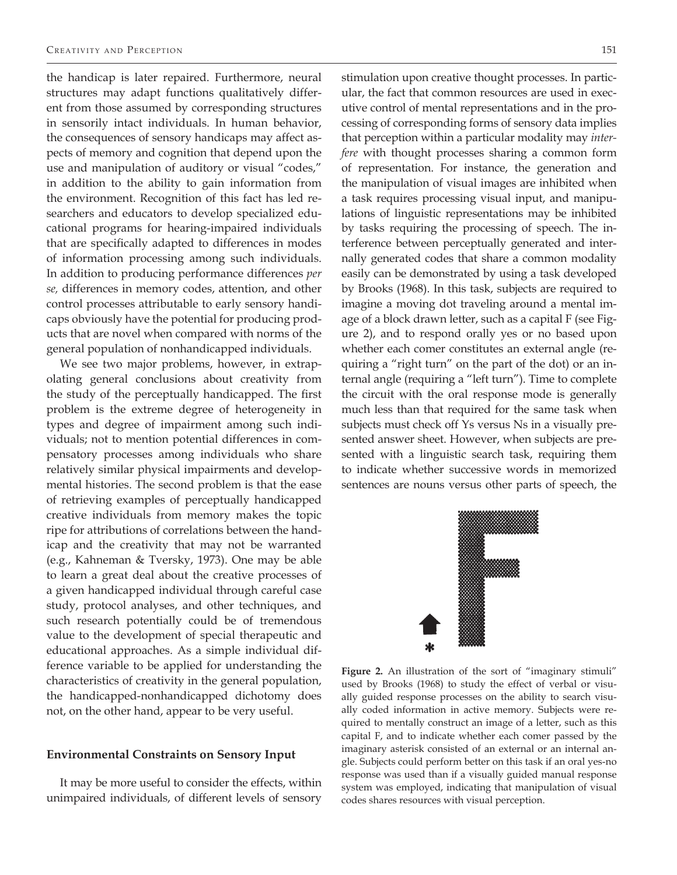the handicap is later repaired. Furthermore, neural structures may adapt functions qualitatively different from those assumed by corresponding structures in sensorily intact individuals. In human behavior, the consequences of sensory handicaps may affect aspects of memory and cognition that depend upon the use and manipulation of auditory or visual "codes," in addition to the ability to gain information from the environment. Recognition of this fact has led researchers and educators to develop specialized educational programs for hearing-impaired individuals that are specifically adapted to differences in modes of information processing among such individuals. In addition to producing performance differences *per se,* differences in memory codes, attention, and other control processes attributable to early sensory handicaps obviously have the potential for producing products that are novel when compared with norms of the general population of nonhandicapped individuals.

We see two major problems, however, in extrapolating general conclusions about creativity from the study of the perceptually handicapped. The first problem is the extreme degree of heterogeneity in types and degree of impairment among such individuals; not to mention potential differences in compensatory processes among individuals who share relatively similar physical impairments and developmental histories. The second problem is that the ease of retrieving examples of perceptually handicapped creative individuals from memory makes the topic ripe for attributions of correlations between the handicap and the creativity that may not be warranted (e.g., Kahneman & Tversky, 1973). One may be able to learn a great deal about the creative processes of a given handicapped individual through careful case study, protocol analyses, and other techniques, and such research potentially could be of tremendous value to the development of special therapeutic and educational approaches. As a simple individual difference variable to be applied for understanding the characteristics of creativity in the general population, the handicapped-nonhandicapped dichotomy does not, on the other hand, appear to be very useful.

#### **Environmental Constraints on Sensory Input**

It may be more useful to consider the effects, within unimpaired individuals, of different levels of sensory stimulation upon creative thought processes. In particular, the fact that common resources are used in executive control of mental representations and in the processing of corresponding forms of sensory data implies that perception within a particular modality may *interfere* with thought processes sharing a common form of representation. For instance, the generation and the manipulation of visual images are inhibited when a task requires processing visual input, and manipulations of linguistic representations may be inhibited by tasks requiring the processing of speech. The interference between perceptually generated and internally generated codes that share a common modality easily can be demonstrated by using a task developed by Brooks (1968). In this task, subjects are required to imagine a moving dot traveling around a mental image of a block drawn letter, such as a capital F (see Figure 2), and to respond orally yes or no based upon whether each comer constitutes an external angle (requiring a "right turn" on the part of the dot) or an internal angle (requiring a "left turn"). Time to complete the circuit with the oral response mode is generally much less than that required for the same task when subjects must check off Ys versus Ns in a visually presented answer sheet. However, when subjects are presented with a linguistic search task, requiring them to indicate whether successive words in memorized sentences are nouns versus other parts of speech, the



Figure 2. An illustration of the sort of "imaginary stimuli" used by Brooks (1968) to study the effect of verbal or visually guided response processes on the ability to search visually coded information in active memory. Subjects were required to mentally construct an image of a letter, such as this capital F, and to indicate whether each comer passed by the imaginary asterisk consisted of an external or an internal angle. Subjects could perform better on this task if an oral yes-no response was used than if a visually guided manual response system was employed, indicating that manipulation of visual codes shares resources with visual perception.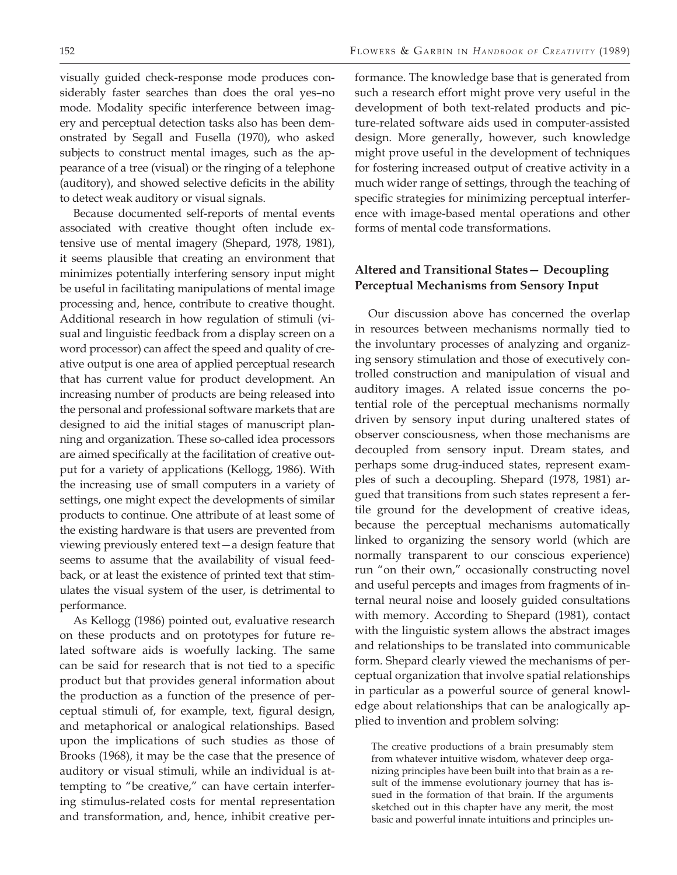visually guided check-response mode produces considerably faster searches than does the oral yes–no mode. Modality specific interference between imagery and perceptual detection tasks also has been demonstrated by Segall and Fusella (1970), who asked subjects to construct mental images, such as the appearance of a tree (visual) or the ringing of a telephone (auditory), and showed selective deficits in the ability

to detect weak auditory or visual signals. Because documented self-reports of mental events associated with creative thought often include extensive use of mental imagery (Shepard, 1978, 1981), it seems plausible that creating an environment that minimizes potentially interfering sensory input might be useful in facilitating manipulations of mental image processing and, hence, contribute to creative thought. Additional research in how regulation of stimuli (visual and linguistic feedback from a display screen on a word processor) can affect the speed and quality of creative output is one area of applied perceptual research that has current value for product development. An increasing number of products are being released into the personal and professional software markets that are designed to aid the initial stages of manuscript planning and organization. These so-called idea processors are aimed specifically at the facilitation of creative output for a variety of applications (Kellogg, 1986). With the increasing use of small computers in a variety of settings, one might expect the developments of similar products to continue. One attribute of at least some of the existing hardware is that users are prevented from viewing previously entered text—a design feature that seems to assume that the availability of visual feedback, or at least the existence of printed text that stimulates the visual system of the user, is detrimental to performance.

As Kellogg (1986) pointed out, evaluative research on these products and on prototypes for future related software aids is woefully lacking. The same can be said for research that is not tied to a specific product but that provides general information about the production as a function of the presence of perceptual stimuli of, for example, text, figural design, and metaphorical or analogical relationships. Based upon the implications of such studies as those of Brooks (1968), it may be the case that the presence of auditory or visual stimuli, while an individual is attempting to "be creative," can have certain interfering stimulus-related costs for mental representation and transformation, and, hence, inhibit creative per-

formance. The knowledge base that is generated from such a research effort might prove very useful in the development of both text-related products and picture-related software aids used in computer-assisted design. More generally, however, such knowledge might prove useful in the development of techniques for fostering increased output of creative activity in a

much wider range of settings, through the teaching of specific strategies for minimizing perceptual interference with image-based mental operations and other forms of mental code transformations.

# **Altered and Transitional States— Decoupling Perceptual Mechanisms from Sensory Input**

Our discussion above has concerned the overlap in resources between mechanisms normally tied to the involuntary processes of analyzing and organizing sensory stimulation and those of executively controlled construction and manipulation of visual and auditory images. A related issue concerns the potential role of the perceptual mechanisms normally driven by sensory input during unaltered states of observer consciousness, when those mechanisms are decoupled from sensory input. Dream states, and perhaps some drug-induced states, represent examples of such a decoupling. Shepard (1978, 1981) argued that transitions from such states represent a fertile ground for the development of creative ideas, because the perceptual mechanisms automatically linked to organizing the sensory world (which are normally transparent to our conscious experience) run "on their own," occasionally constructing novel and useful percepts and images from fragments of internal neural noise and loosely guided consultations with memory. According to Shepard (1981), contact with the linguistic system allows the abstract images and relationships to be translated into communicable form. Shepard clearly viewed the mechanisms of perceptual organization that involve spatial relationships in particular as a powerful source of general knowledge about relationships that can be analogically applied to invention and problem solving:

The creative productions of a brain presumably stem from whatever intuitive wisdom, whatever deep organizing principles have been built into that brain as a result of the immense evolutionary journey that has issued in the formation of that brain. If the arguments sketched out in this chapter have any merit, the most basic and powerful innate intuitions and principles un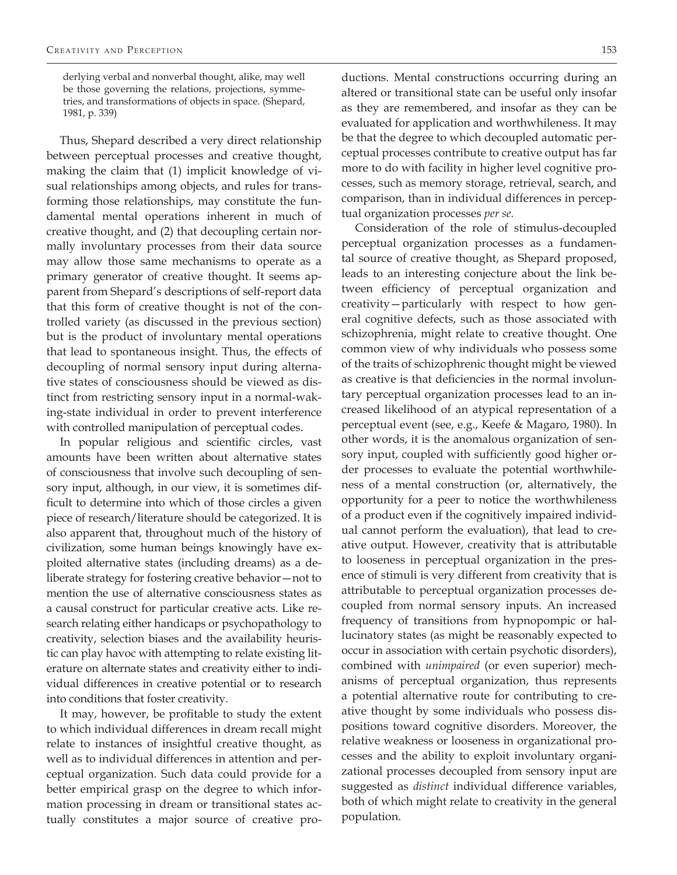derlying verbal and nonverbal thought, alike, may well be those governing the relations, projections, symmetries, and transformations of objects in space. (Shepard, 1981, p. 339)

Thus, Shepard described a very direct relationship between perceptual processes and creative thought, making the claim that (1) implicit knowledge of visual relationships among objects, and rules for transforming those relationships, may constitute the fundamental mental operations inherent in much of creative thought, and (2) that decoupling certain normally involuntary processes from their data source may allow those same mechanisms to operate as a primary generator of creative thought. It seems apparent from Shepard's descriptions of self-report data that this form of creative thought is not of the controlled variety (as discussed in the previous section) but is the product of involuntary mental operations that lead to spontaneous insight. Thus, the effects of decoupling of normal sensory input during alternative states of consciousness should be viewed as distinct from restricting sensory input in a normal-waking-state individual in order to prevent interference with controlled manipulation of perceptual codes.

In popular religious and scientific circles, vast amounts have been written about alternative states of consciousness that involve such decoupling of sensory input, although, in our view, it is sometimes difficult to determine into which of those circles a given piece of research/literature should be categorized. It is also apparent that, throughout much of the history of civilization, some human beings knowingly have exploited alternative states (including dreams) as a deliberate strategy for fostering creative behavior—not to mention the use of alternative consciousness states as a causal construct for particular creative acts. Like research relating either handicaps or psychopathology to creativity, selection biases and the availability heuristic can play havoc with attempting to relate existing literature on alternate states and creativity either to individual differences in creative potential or to research into conditions that foster creativity.

It may, however, be profitable to study the extent to which individual differences in dream recall might relate to instances of insightful creative thought, as well as to individual differences in attention and perceptual organization. Such data could provide for a better empirical grasp on the degree to which information processing in dream or transitional states actually constitutes a major source of creative pro-

ductions. Mental constructions occurring during an altered or transitional state can be useful only insofar as they are remembered, and insofar as they can be evaluated for application and worthwhileness. It may be that the degree to which decoupled automatic perceptual processes contribute to creative output has far more to do with facility in higher level cognitive processes, such as memory storage, retrieval, search, and comparison, than in individual differences in perceptual organization processes *per se.*

Consideration of the role of stimulus-decoupled perceptual organization processes as a fundamental source of creative thought, as Shepard proposed, leads to an interesting conjecture about the link between efficiency of perceptual organization and creativity—particularly with respect to how general cognitive defects, such as those associated with schizophrenia, might relate to creative thought. One common view of why individuals who possess some of the traits of schizophrenic thought might be viewed as creative is that deficiencies in the normal involuntary perceptual organization processes lead to an increased likelihood of an atypical representation of a perceptual event (see, e.g., Keefe & Magaro, 1980). In other words, it is the anomalous organization of sensory input, coupled with sufficiently good higher order processes to evaluate the potential worthwhileness of a mental construction (or, alternatively, the opportunity for a peer to notice the worthwhileness of a product even if the cognitively impaired individual cannot perform the evaluation), that lead to creative output. However, creativity that is attributable to looseness in perceptual organization in the presence of stimuli is very different from creativity that is attributable to perceptual organization processes decoupled from normal sensory inputs. An increased frequency of transitions from hypnopompic or hallucinatory states (as might be reasonably expected to occur in association with certain psychotic disorders), combined with *unimpaired* (or even superior) mechanisms of perceptual organization, thus represents a potential alternative route for contributing to creative thought by some individuals who possess dispositions toward cognitive disorders. Moreover, the relative weakness or looseness in organizational processes and the ability to exploit involuntary organizational processes decoupled from sensory input are suggested as *distinct* individual difference variables, both of which might relate to creativity in the general population.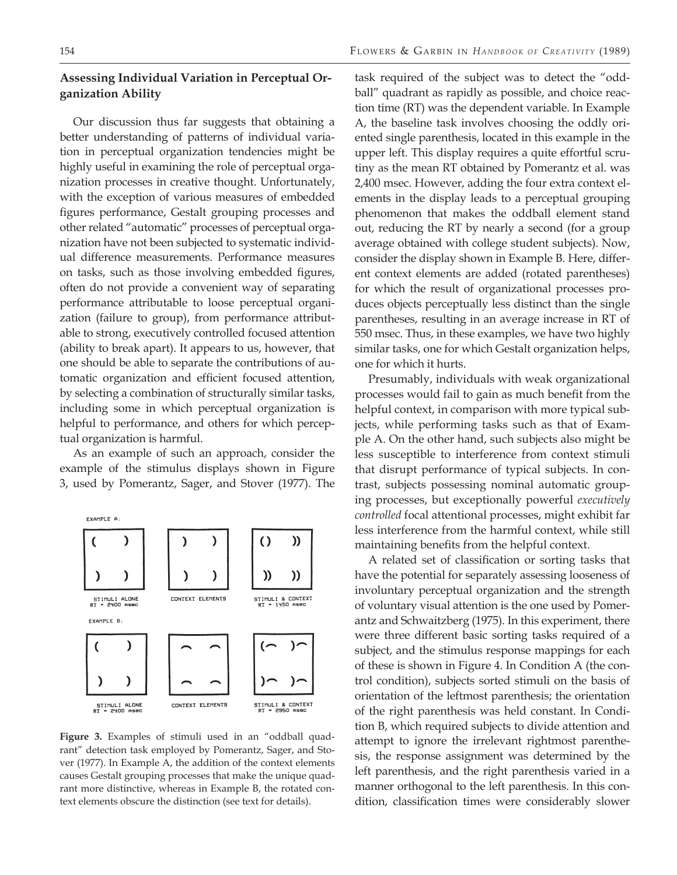# **Assessing Individual Variation in Perceptual Organization Ability**

Our discussion thus far suggests that obtaining a better understanding of patterns of individual variation in perceptual organization tendencies might be highly useful in examining the role of perceptual organization processes in creative thought. Unfortunately, with the exception of various measures of embedded figures performance, Gestalt grouping processes and other related "automatic" processes of perceptual organization have not been subjected to systematic individual difference measurements. Performance measures on tasks, such as those involving embedded figures, often do not provide a convenient way of separating performance attributable to loose perceptual organization (failure to group), from performance attributable to strong, executively controlled focused attention (ability to break apart). It appears to us, however, that one should be able to separate the contributions of automatic organization and efficient focused attention, by selecting a combination of structurally similar tasks, including some in which perceptual organization is helpful to performance, and others for which perceptual organization is harmful.

As an example of such an approach, consider the example of the stimulus displays shown in Figure 3, used by Pomerantz, Sager, and Stover (1977). The



Figure 3. Examples of stimuli used in an "oddball quadrant" detection task employed by Pomerantz, Sager, and Stover (1977). In Example A, the addition of the context elements causes Gestalt grouping processes that make the unique quadrant more distinctive, whereas in Example B, the rotated context elements obscure the distinction (see text for details).

task required of the subject was to detect the "oddball" quadrant as rapidly as possible, and choice reaction time (RT) was the dependent variable. In Example A, the baseline task involves choosing the oddly oriented single parenthesis, located in this example in the upper left. This display requires a quite effortful scrutiny as the mean RT obtained by Pomerantz et al. was 2,400 msec. However, adding the four extra context elements in the display leads to a perceptual grouping phenomenon that makes the oddball element stand out, reducing the RT by nearly a second (for a group average obtained with college student subjects). Now, consider the display shown in Example B. Here, different context elements are added (rotated parentheses) for which the result of organizational processes produces objects perceptually less distinct than the single parentheses, resulting in an average increase in RT of 550 msec. Thus, in these examples, we have two highly similar tasks, one for which Gestalt organization helps, one for which it hurts.

Presumably, individuals with weak organizational processes would fail to gain as much benefit from the helpful context, in comparison with more typical subjects, while performing tasks such as that of Example A. On the other hand, such subjects also might be less susceptible to interference from context stimuli that disrupt performance of typical subjects. In contrast, subjects possessing nominal automatic grouping processes, but exceptionally powerful *executively controlled* focal attentional processes, might exhibit far less interference from the harmful context, while still maintaining benefits from the helpful context.

A related set of classification or sorting tasks that have the potential for separately assessing looseness of involuntary perceptual organization and the strength of voluntary visual attention is the one used by Pomerantz and Schwaitzberg (1975). In this experiment, there were three different basic sorting tasks required of a subject, and the stimulus response mappings for each of these is shown in Figure 4. In Condition A (the control condition), subjects sorted stimuli on the basis of orientation of the leftmost parenthesis; the orientation of the right parenthesis was held constant. In Condition B, which required subjects to divide attention and attempt to ignore the irrelevant rightmost parenthesis, the response assignment was determined by the left parenthesis, and the right parenthesis varied in a manner orthogonal to the left parenthesis. In this condition, classification times were considerably slower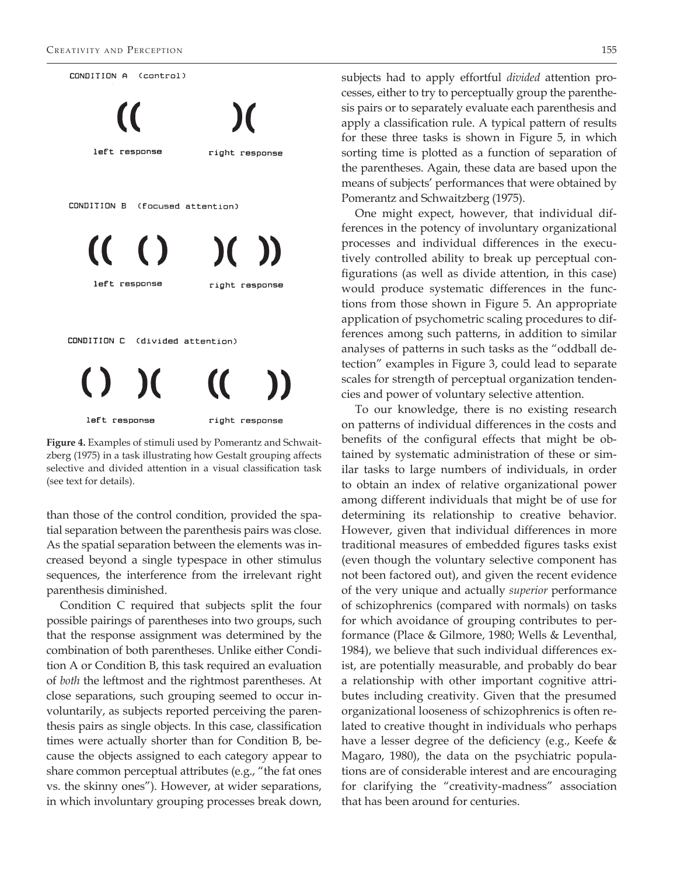

**Figure 4.** Examples of stimuli used by Pomerantz and Schwaitzberg (1975) in a task illustrating how Gestalt grouping affects selective and divided attention in a visual classification task (see text for details).

than those of the control condition, provided the spatial separation between the parenthesis pairs was close. As the spatial separation between the elements was increased beyond a single typespace in other stimulus sequences, the interference from the irrelevant right parenthesis diminished.

Condition C required that subjects split the four possible pairings of parentheses into two groups, such that the response assignment was determined by the combination of both parentheses. Unlike either Condition A or Condition B, this task required an evaluation of *both* the leftmost and the rightmost parentheses. At close separations, such grouping seemed to occur involuntarily, as subjects reported perceiving the parenthesis pairs as single objects. In this case, classification times were actually shorter than for Condition B, because the objects assigned to each category appear to share common perceptual attributes (e.g., "the fat ones vs. the skinny ones"). However, at wider separations, in which involuntary grouping processes break down,

subjects had to apply effortful *divided* attention processes, either to try to perceptually group the parenthesis pairs or to separately evaluate each parenthesis and apply a classification rule. A typical pattern of results for these three tasks is shown in Figure 5, in which sorting time is plotted as a function of separation of the parentheses. Again, these data are based upon the means of subjects' performances that were obtained by Pomerantz and Schwaitzberg (1975).

One might expect, however, that individual differences in the potency of involuntary organizational processes and individual differences in the executively controlled ability to break up perceptual configurations (as well as divide attention, in this case) would produce systematic differences in the functions from those shown in Figure 5. An appropriate application of psychometric scaling procedures to differences among such patterns, in addition to similar analyses of patterns in such tasks as the "oddball detection" examples in Figure 3, could lead to separate scales for strength of perceptual organization tendencies and power of voluntary selective attention.

To our knowledge, there is no existing research on patterns of individual differences in the costs and benefits of the configural effects that might be obtained by systematic administration of these or similar tasks to large numbers of individuals, in order to obtain an index of relative organizational power among different individuals that might be of use for determining its relationship to creative behavior. However, given that individual differences in more traditional measures of embedded figures tasks exist (even though the voluntary selective component has not been factored out), and given the recent evidence of the very unique and actually *superior* performance of schizophrenics (compared with normals) on tasks for which avoidance of grouping contributes to performance (Place & Gilmore, 1980; Wells & Leventhal, 1984), we believe that such individual differences exist, are potentially measurable, and probably do bear a relationship with other important cognitive attributes including creativity. Given that the presumed organizational looseness of schizophrenics is often related to creative thought in individuals who perhaps have a lesser degree of the deficiency (e.g., Keefe & Magaro, 1980), the data on the psychiatric populations are of considerable interest and are encouraging for clarifying the "creativity-madness" association that has been around for centuries.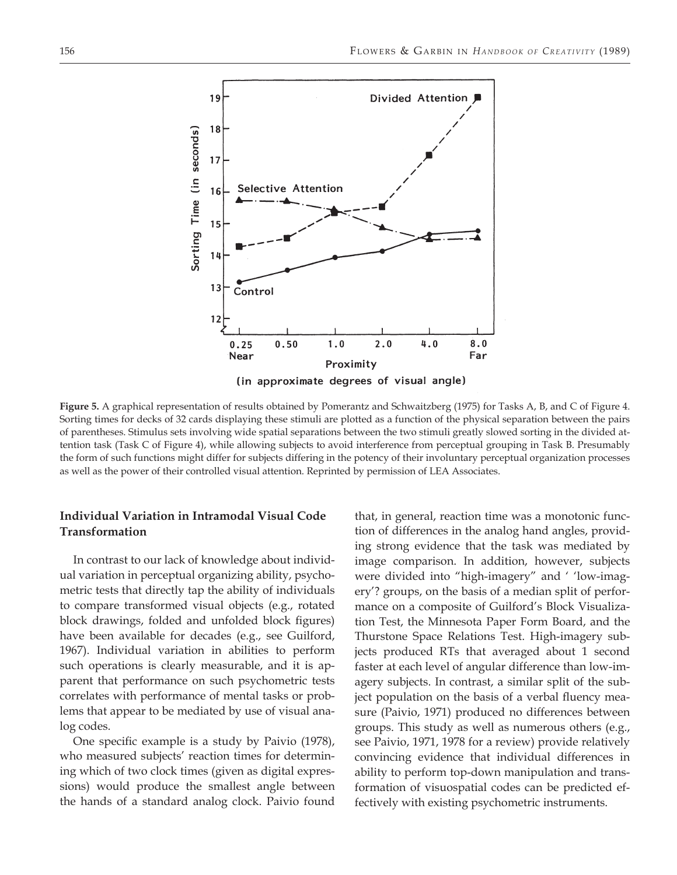

**Figure 5.** A graphical representation of results obtained by Pomerantz and Schwaitzberg (1975) for Tasks A, B, and C of Figure 4. Sorting times for decks of 32 cards displaying these stimuli are plotted as a function of the physical separation between the pairs of parentheses. Stimulus sets involving wide spatial separations between the two stimuli greatly slowed sorting in the divided attention task (Task C of Figure 4), while allowing subjects to avoid interference from perceptual grouping in Task B. Presumably the form of such functions might differ for subjects differing in the potency of their involuntary perceptual organization processes as well as the power of their controlled visual attention. Reprinted by permission of LEA Associates.

# **Individual Variation in Intramodal Visual Code Transformation**

In contrast to our lack of knowledge about individual variation in perceptual organizing ability, psychometric tests that directly tap the ability of individuals to compare transformed visual objects (e.g., rotated block drawings, folded and unfolded block figures) have been available for decades (e.g., see Guilford, 1967). Individual variation in abilities to perform such operations is clearly measurable, and it is apparent that performance on such psychometric tests correlates with performance of mental tasks or problems that appear to be mediated by use of visual analog codes.

One specific example is a study by Paivio (1978), who measured subjects' reaction times for determining which of two clock times (given as digital expressions) would produce the smallest angle between the hands of a standard analog clock. Paivio found

that, in general, reaction time was a monotonic function of differences in the analog hand angles, providing strong evidence that the task was mediated by image comparison. In addition, however, subjects were divided into "high-imagery" and ' 'low-imagery'? groups, on the basis of a median split of performance on a composite of Guilford's Block Visualization Test, the Minnesota Paper Form Board, and the Thurstone Space Relations Test. High-imagery subjects produced RTs that averaged about 1 second faster at each level of angular difference than low-imagery subjects. In contrast, a similar split of the subject population on the basis of a verbal fluency measure (Paivio, 1971) produced no differences between groups. This study as well as numerous others (e.g., see Paivio, 1971, 1978 for a review) provide relatively convincing evidence that individual differences in ability to perform top-down manipulation and transformation of visuospatial codes can be predicted effectively with existing psychometric instruments.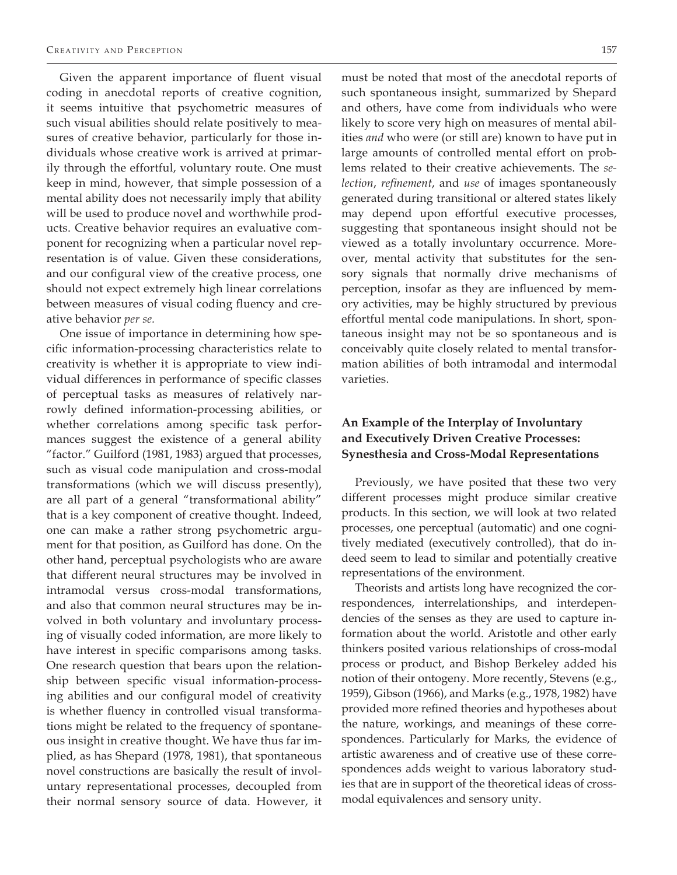Given the apparent importance of fluent visual coding in anecdotal reports of creative cognition, it seems intuitive that psychometric measures of such visual abilities should relate positively to measures of creative behavior, particularly for those individuals whose creative work is arrived at primarily through the effortful, voluntary route. One must keep in mind, however, that simple possession of a mental ability does not necessarily imply that ability will be used to produce novel and worthwhile products. Creative behavior requires an evaluative component for recognizing when a particular novel representation is of value. Given these considerations, and our configural view of the creative process, one should not expect extremely high linear correlations between measures of visual coding fluency and creative behavior *per se.*

One issue of importance in determining how specific information-processing characteristics relate to creativity is whether it is appropriate to view individual differences in performance of specific classes of perceptual tasks as measures of relatively narrowly defined information-processing abilities, or whether correlations among specific task performances suggest the existence of a general ability "factor." Guilford (1981, 1983) argued that processes, such as visual code manipulation and cross-modal transformations (which we will discuss presently), are all part of a general "transformational ability" that is a key component of creative thought. Indeed, one can make a rather strong psychometric argument for that position, as Guilford has done. On the other hand, perceptual psychologists who are aware that different neural structures may be involved in intramodal versus cross-modal transformations, and also that common neural structures may be involved in both voluntary and involuntary processing of visually coded information, are more likely to have interest in specific comparisons among tasks. One research question that bears upon the relationship between specific visual information-processing abilities and our configural model of creativity is whether fluency in controlled visual transformations might be related to the frequency of spontaneous insight in creative thought. We have thus far implied, as has Shepard (1978, 1981), that spontaneous novel constructions are basically the result of involuntary representational processes, decoupled from their normal sensory source of data. However, it

must be noted that most of the anecdotal reports of such spontaneous insight, summarized by Shepard and others, have come from individuals who were likely to score very high on measures of mental abilities *and* who were (or still are) known to have put in large amounts of controlled mental effort on problems related to their creative achievements. The *selection*, *refinement*, and *use* of images spontaneously generated during transitional or altered states likely may depend upon effortful executive processes, suggesting that spontaneous insight should not be viewed as a totally involuntary occurrence. Moreover, mental activity that substitutes for the sensory signals that normally drive mechanisms of perception, insofar as they are influenced by memory activities, may be highly structured by previous effortful mental code manipulations. In short, spontaneous insight may not be so spontaneous and is conceivably quite closely related to mental transformation abilities of both intramodal and intermodal varieties.

# **An Example of the Interplay of Involuntary and Executively Driven Creative Processes: Synesthesia and Cross-Modal Representations**

Previously, we have posited that these two very different processes might produce similar creative products. In this section, we will look at two related processes, one perceptual (automatic) and one cognitively mediated (executively controlled), that do indeed seem to lead to similar and potentially creative representations of the environment.

Theorists and artists long have recognized the correspondences, interrelationships, and interdependencies of the senses as they are used to capture information about the world. Aristotle and other early thinkers posited various relationships of cross-modal process or product, and Bishop Berkeley added his notion of their ontogeny. More recently, Stevens (e.g., 1959), Gibson (1966), and Marks (e.g., 1978, 1982) have provided more refined theories and hypotheses about the nature, workings, and meanings of these correspondences. Particularly for Marks, the evidence of artistic awareness and of creative use of these correspondences adds weight to various laboratory studies that are in support of the theoretical ideas of crossmodal equivalences and sensory unity.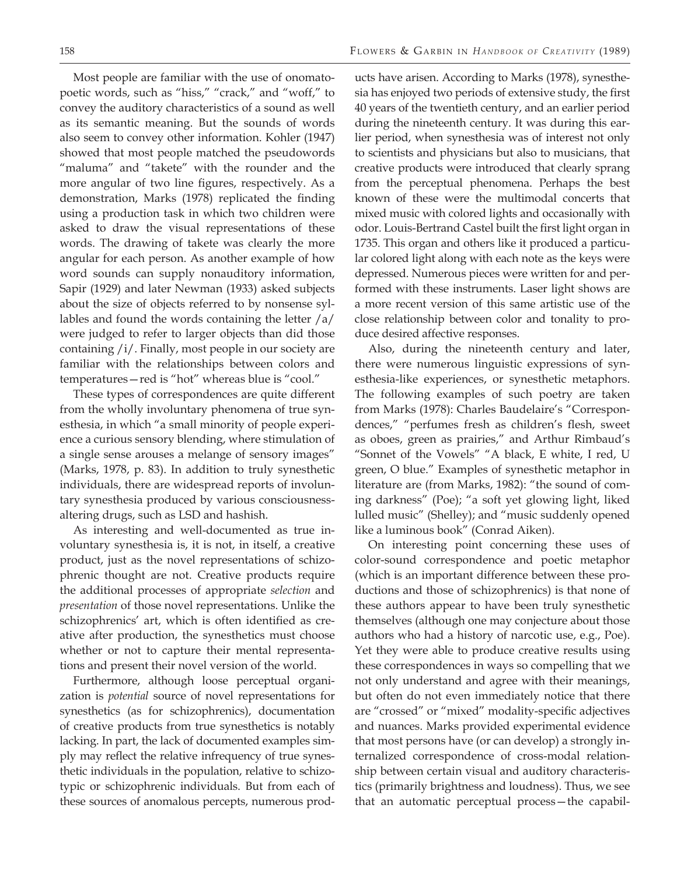Most people are familiar with the use of onomatopoetic words, such as "hiss," "crack," and "woff," to convey the auditory characteristics of a sound as well as its semantic meaning. But the sounds of words also seem to convey other information. Kohler (1947) showed that most people matched the pseudowords "maluma" and "takete" with the rounder and the more angular of two line figures, respectively. As a demonstration, Marks (1978) replicated the finding using a production task in which two children were asked to draw the visual representations of these words. The drawing of takete was clearly the more angular for each person. As another example of how word sounds can supply nonauditory information, Sapir (1929) and later Newman (1933) asked subjects about the size of objects referred to by nonsense syllables and found the words containing the letter /a/ were judged to refer to larger objects than did those containing /i/. Finally, most people in our society are familiar with the relationships between colors and temperatures—red is "hot" whereas blue is "cool."

These types of correspondences are quite different from the wholly involuntary phenomena of true synesthesia, in which "a small minority of people experience a curious sensory blending, where stimulation of a single sense arouses a melange of sensory images" (Marks, 1978, p. 83). In addition to truly synesthetic individuals, there are widespread reports of involuntary synesthesia produced by various consciousnessaltering drugs, such as LSD and hashish.

As interesting and well-documented as true involuntary synesthesia is, it is not, in itself, a creative product, just as the novel representations of schizophrenic thought are not. Creative products require the additional processes of appropriate *selection* and *presentation* of those novel representations. Unlike the schizophrenics' art, which is often identified as creative after production, the synesthetics must choose whether or not to capture their mental representations and present their novel version of the world.

Furthermore, although loose perceptual organization is *potential* source of novel representations for synesthetics (as for schizophrenics), documentation of creative products from true synesthetics is notably lacking. In part, the lack of documented examples simply may reflect the relative infrequency of true synesthetic individuals in the population, relative to schizotypic or schizophrenic individuals. But from each of these sources of anomalous percepts, numerous prod-

ucts have arisen. According to Marks (1978), synesthesia has enjoyed two periods of extensive study, the first 40 years of the twentieth century, and an earlier period during the nineteenth century. It was during this earlier period, when synesthesia was of interest not only to scientists and physicians but also to musicians, that creative products were introduced that clearly sprang from the perceptual phenomena. Perhaps the best known of these were the multimodal concerts that mixed music with colored lights and occasionally with odor. Louis-Bertrand Castel built the first light organ in 1735. This organ and others like it produced a particular colored light along with each note as the keys were depressed. Numerous pieces were written for and performed with these instruments. Laser light shows are a more recent version of this same artistic use of the close relationship between color and tonality to produce desired affective responses.

Also, during the nineteenth century and later, there were numerous linguistic expressions of synesthesia-like experiences, or synesthetic metaphors. The following examples of such poetry are taken from Marks (1978): Charles Baudelaire's "Correspondences," "perfumes fresh as children's flesh, sweet as oboes, green as prairies," and Arthur Rimbaud's "Sonnet of the Vowels" "A black, E white, I red, U green, O blue." Examples of synesthetic metaphor in literature are (from Marks, 1982): "the sound of coming darkness" (Poe); "a soft yet glowing light, liked lulled music" (Shelley); and "music suddenly opened like a luminous book" (Conrad Aiken).

On interesting point concerning these uses of color-sound correspondence and poetic metaphor (which is an important difference between these productions and those of schizophrenics) is that none of these authors appear to have been truly synesthetic themselves (although one may conjecture about those authors who had a history of narcotic use, e.g., Poe). Yet they were able to produce creative results using these correspondences in ways so compelling that we not only understand and agree with their meanings, but often do not even immediately notice that there are "crossed" or "mixed" modality-specific adjectives and nuances. Marks provided experimental evidence that most persons have (or can develop) a strongly internalized correspondence of cross-modal relationship between certain visual and auditory characteristics (primarily brightness and loudness). Thus, we see that an automatic perceptual process—the capabil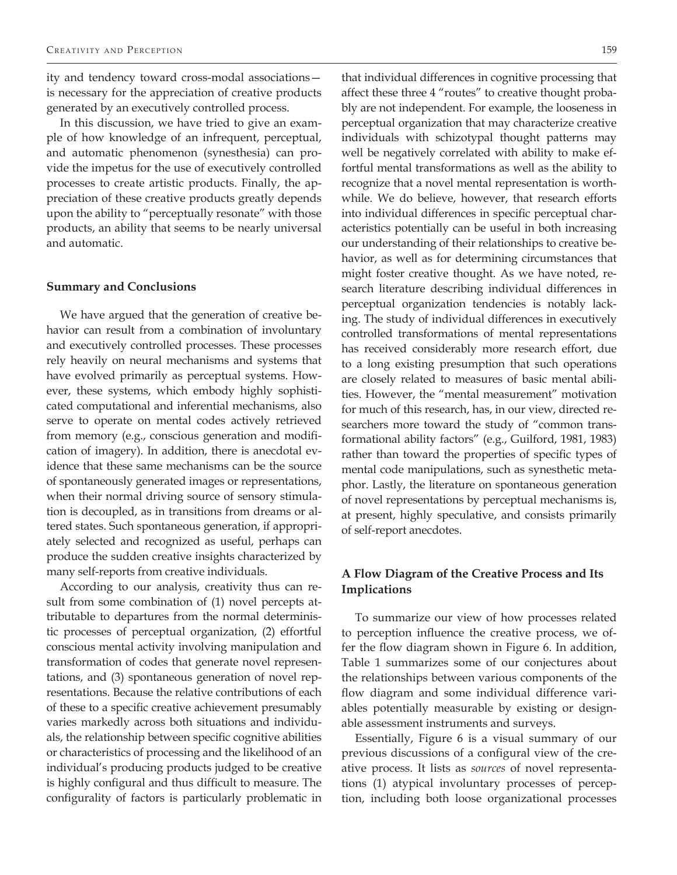ity and tendency toward cross-modal associations is necessary for the appreciation of creative products generated by an executively controlled process.

In this discussion, we have tried to give an example of how knowledge of an infrequent, perceptual, and automatic phenomenon (synesthesia) can provide the impetus for the use of executively controlled processes to create artistic products. Finally, the appreciation of these creative products greatly depends upon the ability to "perceptually resonate" with those products, an ability that seems to be nearly universal and automatic.

#### **Summary and Conclusions**

We have argued that the generation of creative behavior can result from a combination of involuntary and executively controlled processes. These processes rely heavily on neural mechanisms and systems that have evolved primarily as perceptual systems. However, these systems, which embody highly sophisticated computational and inferential mechanisms, also serve to operate on mental codes actively retrieved from memory (e.g., conscious generation and modification of imagery). In addition, there is anecdotal evidence that these same mechanisms can be the source of spontaneously generated images or representations, when their normal driving source of sensory stimulation is decoupled, as in transitions from dreams or altered states. Such spontaneous generation, if appropriately selected and recognized as useful, perhaps can produce the sudden creative insights characterized by many self-reports from creative individuals.

According to our analysis, creativity thus can result from some combination of (1) novel percepts attributable to departures from the normal deterministic processes of perceptual organization, (2) effortful conscious mental activity involving manipulation and transformation of codes that generate novel representations, and (3) spontaneous generation of novel representations. Because the relative contributions of each of these to a specific creative achievement presumably varies markedly across both situations and individuals, the relationship between specific cognitive abilities or characteristics of processing and the likelihood of an individual's producing products judged to be creative is highly configural and thus difficult to measure. The configurality of factors is particularly problematic in

that individual differences in cognitive processing that affect these three 4 "routes" to creative thought probably are not independent. For example, the looseness in perceptual organization that may characterize creative individuals with schizotypal thought patterns may well be negatively correlated with ability to make effortful mental transformations as well as the ability to recognize that a novel mental representation is worthwhile. We do believe, however, that research efforts into individual differences in specific perceptual characteristics potentially can be useful in both increasing our understanding of their relationships to creative behavior, as well as for determining circumstances that might foster creative thought. As we have noted, research literature describing individual differences in perceptual organization tendencies is notably lacking. The study of individual differences in executively controlled transformations of mental representations has received considerably more research effort, due to a long existing presumption that such operations are closely related to measures of basic mental abilities. However, the "mental measurement" motivation for much of this research, has, in our view, directed researchers more toward the study of "common transformational ability factors" (e.g., Guilford, 1981, 1983) rather than toward the properties of specific types of mental code manipulations, such as synesthetic metaphor. Lastly, the literature on spontaneous generation of novel representations by perceptual mechanisms is, at present, highly speculative, and consists primarily of self-report anecdotes.

# **A Flow Diagram of the Creative Process and Its Implications**

To summarize our view of how processes related to perception influence the creative process, we offer the flow diagram shown in Figure 6. In addition, Table 1 summarizes some of our conjectures about the relationships between various components of the flow diagram and some individual difference variables potentially measurable by existing or designable assessment instruments and surveys.

Essentially, Figure 6 is a visual summary of our previous discussions of a configural view of the creative process. It lists as *sources* of novel representations (1) atypical involuntary processes of perception, including both loose organizational processes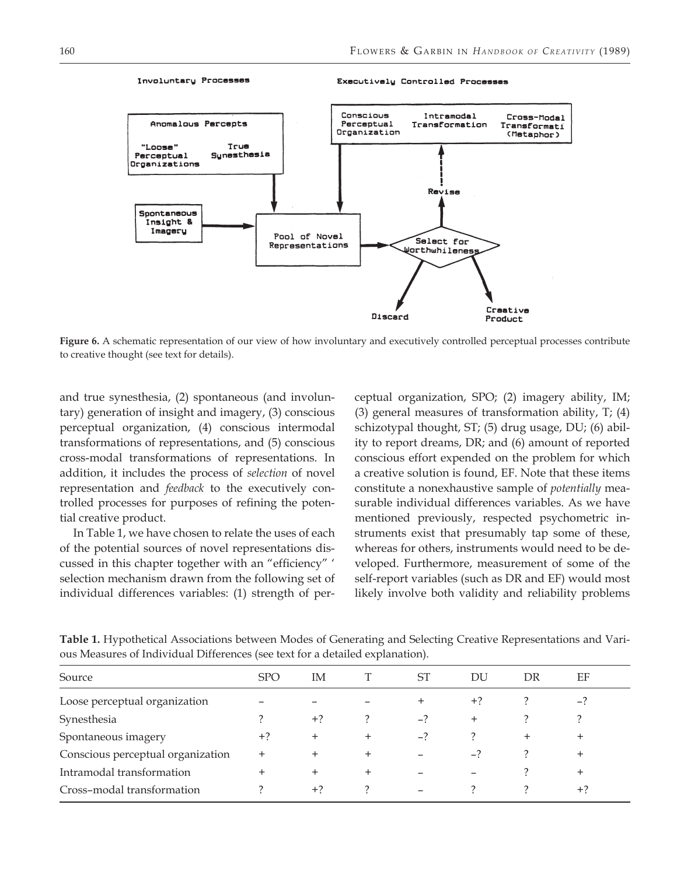

**Figure 6.** A schematic representation of our view of how involuntary and executively controlled perceptual processes contribute to creative thought (see text for details).

and true synesthesia, (2) spontaneous (and involuntary) generation of insight and imagery, (3) conscious perceptual organization, (4) conscious intermodal transformations of representations, and (5) conscious cross-modal transformations of representations. In addition, it includes the process of *selection* of novel representation and *feedback* to the executively controlled processes for purposes of refining the potential creative product.

In Table 1, we have chosen to relate the uses of each of the potential sources of novel representations discussed in this chapter together with an "efficiency" ' selection mechanism drawn from the following set of individual differences variables: (1) strength of perceptual organization, SPO; (2) imagery ability, IM; (3) general measures of transformation ability,  $T$ ; (4) schizotypal thought, ST; (5) drug usage, DU; (6) ability to report dreams, DR; and (6) amount of reported conscious effort expended on the problem for which a creative solution is found, EF. Note that these items constitute a nonexhaustive sample of *potentially* measurable individual differences variables. As we have mentioned previously, respected psychometric instruments exist that presumably tap some of these, whereas for others, instruments would need to be developed. Furthermore, measurement of some of the self-report variables (such as DR and EF) would most likely involve both validity and reliability problems

**Table 1.** Hypothetical Associations between Modes of Generating and Selecting Creative Representations and Various Measures of Individual Differences (see text for a detailed explanation).

| Source                            | <b>SPO</b> | ΙM    |        | <b>ST</b> | DU        | DR        | EF    |
|-----------------------------------|------------|-------|--------|-----------|-----------|-----------|-------|
| Loose perceptual organization     |            |       |        | $\pm$     | $+2$      |           | $-2$  |
| Synesthesia                       |            | $+2$  |        | $-2$      | $\ddot{}$ |           |       |
| Spontaneous imagery               | $+2$       | $\pm$ | $+$    | $-2$      |           | $\ddot{}$ | $\pm$ |
| Conscious perceptual organization | $\ddot{}$  | $\pm$ | $^{+}$ |           | $-$       |           | ٠     |
| Intramodal transformation         | $\ddot{}$  | $+$   | $^{+}$ |           |           |           | ٠     |
| Cross-modal transformation        |            | $+2$  |        |           |           |           | $+2$  |

Involuntary Processes

Executively Controlled Processes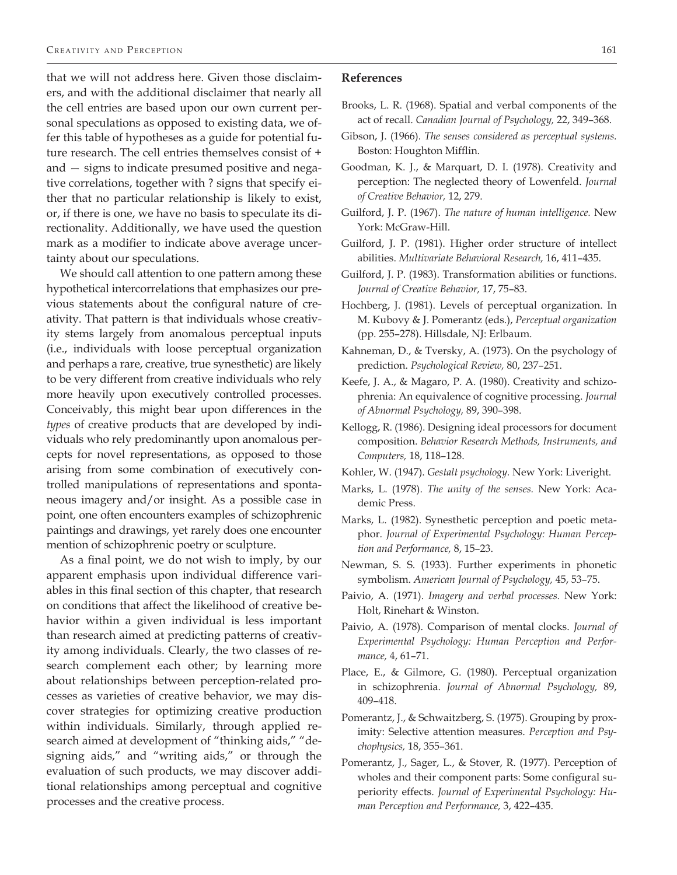that we will not address here. Given those disclaimers, and with the additional disclaimer that nearly all the cell entries are based upon our own current personal speculations as opposed to existing data, we offer this table of hypotheses as a guide for potential future research. The cell entries themselves consist of + and — signs to indicate presumed positive and negative correlations, together with ? signs that specify either that no particular relationship is likely to exist, or, if there is one, we have no basis to speculate its directionality. Additionally, we have used the question mark as a modifier to indicate above average uncertainty about our speculations.

We should call attention to one pattern among these hypothetical intercorrelations that emphasizes our previous statements about the configural nature of creativity. That pattern is that individuals whose creativity stems largely from anomalous perceptual inputs (i.e., individuals with loose perceptual organization and perhaps a rare, creative, true synesthetic) are likely to be very different from creative individuals who rely more heavily upon executively controlled processes. Conceivably, this might bear upon differences in the *types* of creative products that are developed by individuals who rely predominantly upon anomalous percepts for novel representations, as opposed to those arising from some combination of executively controlled manipulations of representations and spontaneous imagery and/or insight. As a possible case in point, one often encounters examples of schizophrenic paintings and drawings, yet rarely does one encounter mention of schizophrenic poetry or sculpture.

As a final point, we do not wish to imply, by our apparent emphasis upon individual difference variables in this final section of this chapter, that research on conditions that affect the likelihood of creative behavior within a given individual is less important than research aimed at predicting patterns of creativity among individuals. Clearly, the two classes of research complement each other; by learning more about relationships between perception-related processes as varieties of creative behavior, we may discover strategies for optimizing creative production within individuals. Similarly, through applied research aimed at development of "thinking aids," "designing aids," and "writing aids," or through the evaluation of such products, we may discover additional relationships among perceptual and cognitive processes and the creative process.

#### **References**

- Brooks, L. R. (1968). Spatial and verbal components of the act of recall. *Canadian Journal of Psychology,* 22, 349–368.
- Gibson, J. (1966). *The senses considered as perceptual systems.* Boston: Houghton Mifflin.
- Goodman, K. J., & Marquart, D. I. (1978). Creativity and perception: The neglected theory of Lowenfeld. *Journal of Creative Behavior,* 12, 279.
- Guilford, J. P. (1967). *The nature of human intelligence.* New York: McGraw-Hill.
- Guilford, J. P. (1981). Higher order structure of intellect abilities. *Multivariate Behavioral Research,* 16, 411–435.
- Guilford, J. P. (1983). Transformation abilities or functions. *Journal of Creative Behavior,* 17, 75–83.
- Hochberg, J. (1981). Levels of perceptual organization. In M. Kubovy & J. Pomerantz (eds.), *Perceptual organization*  (pp. 255–278). Hillsdale, NJ: Erlbaum.
- Kahneman, D., & Tversky, A. (1973). On the psychology of prediction. *Psychological Review,* 80, 237–251.
- Keefe, J. A., & Magaro, P. A. (1980). Creativity and schizophrenia: An equivalence of cognitive processing. *Journal of Abnormal Psychology,* 89, 390–398.
- Kellogg, R. (1986). Designing ideal processors for document composition. *Behavior Research Methods, Instruments, and Computers,* 18, 118–128.
- Kohler, W. (1947). *Gestalt psychology.* New York: Liveright.
- Marks, L. (1978). *The unity of the senses.* New York: Academic Press.
- Marks, L. (1982). Synesthetic perception and poetic metaphor. *Journal of Experimental Psychology: Human Perception and Performance,* 8, 15–23.
- Newman, S. S. (1933). Further experiments in phonetic symbolism. *American Journal of Psychology,* 45, 53–75.
- Paivio, A. (1971). *Imagery and verbal processes.* New York: Holt, Rinehart & Winston.
- Paivio, A. (1978). Comparison of mental clocks. *Journal of Experimental Psychology: Human Perception and Performance,* 4, 61–71.
- Place, E., & Gilmore, G. (1980). Perceptual organization in schizophrenia. *Journal of Abnormal Psychology,* 89, 409–418.
- Pomerantz, J., & Schwaitzberg, S. (1975). Grouping by proximity: Selective attention measures. *Perception and Psychophysics,* 18, 355–361.
- Pomerantz, J., Sager, L., & Stover, R. (1977). Perception of wholes and their component parts: Some configural superiority effects. *Journal of Experimental Psychology: Human Perception and Performance,* 3, 422–435.